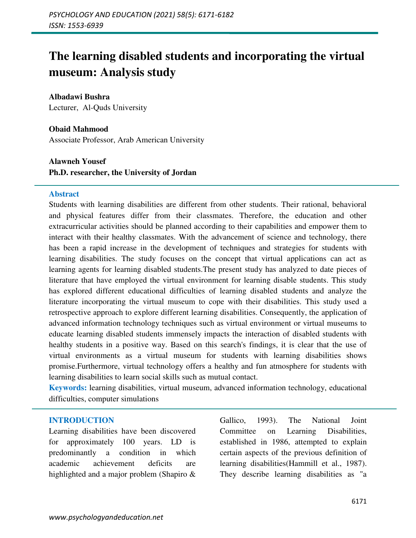# **The learning disabled students and incorporating the virtual museum: Analysis study**

**Albadawi Bushra**  Lecturer, Al-Quds University

**Obaid Mahmood**  Associate Professor, Arab American University

**Alawneh Yousef Ph.D. researcher, the University of Jordan** 

#### **Abstract**

Students with learning disabilities are different from other students. Their rational, behavioral and physical features differ from their classmates. Therefore, the education and other extracurricular activities should be planned according to their capabilities and empower them to interact with their healthy classmates. With the advancement of science and technology, there has been a rapid increase in the development of techniques and strategies for students with learning disabilities. The study focuses on the concept that virtual applications can act as learning agents for learning disabled students.The present study has analyzed to date pieces of literature that have employed the virtual environment for learning disable students. This study has explored different educational difficulties of learning disabled students and analyze the literature incorporating the virtual museum to cope with their disabilities. This study used a retrospective approach to explore different learning disabilities. Consequently, the application of advanced information technology techniques such as virtual environment or virtual museums to educate learning disabled students immensely impacts the interaction of disabled students with healthy students in a positive way. Based on this search's findings, it is clear that the use of virtual environments as a virtual museum for students with learning disabilities shows promise.Furthermore, virtual technology offers a healthy and fun atmosphere for students with learning disabilities to learn social skills such as mutual contact.

**Keywords:** learning disabilities, virtual museum, advanced information technology, educational difficulties, computer simulations

#### **INTRODUCTION**

Learning disabilities have been discovered for approximately 100 years. LD is predominantly a condition in which academic achievement deficits are highlighted and a major problem (Shapiro &

Gallico, 1993). The National Joint Committee on Learning Disabilities, established in 1986, attempted to explain certain aspects of the previous definition of learning disabilities(Hammill et al., 1987). They describe learning disabilities as "a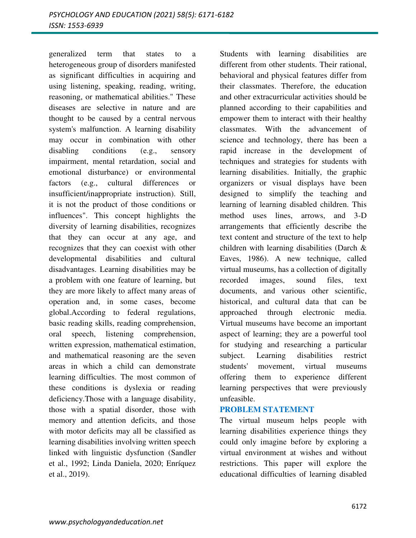generalized term that states to a heterogeneous group of disorders manifested as significant difficulties in acquiring and using listening, speaking, reading, writing, reasoning, or mathematical abilities." These diseases are selective in nature and are thought to be caused by a central nervous system's malfunction. A learning disability may occur in combination with other disabling conditions (e.g., sensory impairment, mental retardation, social and emotional disturbance) or environmental factors (e.g., cultural differences or insufficient/inappropriate instruction). Still, it is not the product of those conditions or influences". This concept highlights the diversity of learning disabilities, recognizes that they can occur at any age, and recognizes that they can coexist with other developmental disabilities and cultural disadvantages. Learning disabilities may be a problem with one feature of learning, but they are more likely to affect many areas of operation and, in some cases, become global.According to federal regulations, basic reading skills, reading comprehension, oral speech, listening comprehension, written expression, mathematical estimation, and mathematical reasoning are the seven areas in which a child can demonstrate learning difficulties. The most common of these conditions is dyslexia or reading deficiency.Those with a language disability, those with a spatial disorder, those with memory and attention deficits, and those with motor deficits may all be classified as learning disabilities involving written speech linked with linguistic dysfunction (Sandler et al., 1992; Linda Daniela, 2020; Enríquez et al., 2019).

Students with learning disabilities are different from other students. Their rational, behavioral and physical features differ from their classmates. Therefore, the education and other extracurricular activities should be planned according to their capabilities and empower them to interact with their healthy classmates. With the advancement of science and technology, there has been a rapid increase in the development of techniques and strategies for students with learning disabilities. Initially, the graphic organizers or visual displays have been designed to simplify the teaching and learning of learning disabled children. This method uses lines, arrows, and 3-D arrangements that efficiently describe the text content and structure of the text to help children with learning disabilities (Darch & Eaves, 1986). A new technique, called virtual museums, has a collection of digitally recorded images, sound files, text documents, and various other scientific, historical, and cultural data that can be approached through electronic media. Virtual museums have become an important aspect of learning; they are a powerful tool for studying and researching a particular subject. Learning disabilities restrict students' movement, virtual museums offering them to experience different learning perspectives that were previously unfeasible.

#### **PROBLEM STATEMENT**

The virtual museum helps people with learning disabilities experience things they could only imagine before by exploring a virtual environment at wishes and without restrictions. This paper will explore the educational difficulties of learning disabled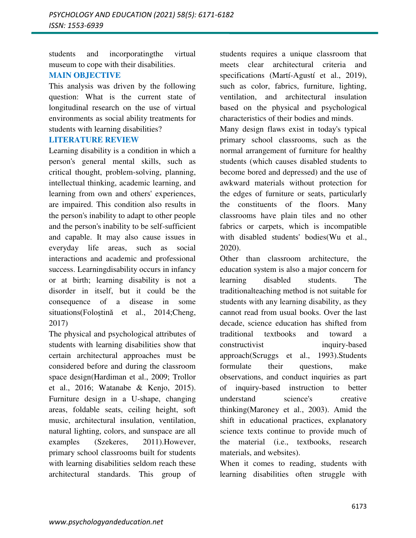students and incorporatingthe virtual museum to cope with their disabilities.

# **MAIN OBJECTIVE**

This analysis was driven by the following question: What is the current state of longitudinal research on the use of virtual environments as social ability treatments for students with learning disabilities?

#### **LITERATURE REVIEW**

Learning disability is a condition in which a person's general mental skills, such as critical thought, problem-solving, planning, intellectual thinking, academic learning, and learning from own and others' experiences, are impaired. This condition also results in the person's inability to adapt to other people and the person's inability to be self-sufficient and capable. It may also cause issues in everyday life areas, such as social interactions and academic and professional success. Learningdisability occurs in infancy or at birth; learning disability is not a disorder in itself, but it could be the consequence of a disease in some situations(Folostină et al., 2014;Cheng, 2017)

The physical and psychological attributes of students with learning disabilities show that certain architectural approaches must be considered before and during the classroom space design(Hardiman et al., 2009; Trollor et al., 2016; Watanabe & Kenjo, 2015). Furniture design in a U-shape, changing areas, foldable seats, ceiling height, soft music, architectural insulation, ventilation, natural lighting, colors, and sunspace are all examples (Szekeres, 2011).However, primary school classrooms built for students with learning disabilities seldom reach these architectural standards. This group of

students requires a unique classroom that meets clear architectural criteria and specifications (Martí-Agustí et al., 2019), such as color, fabrics, furniture, lighting, ventilation, and architectural insulation based on the physical and psychological characteristics of their bodies and minds.

Many design flaws exist in today's typical primary school classrooms, such as the normal arrangement of furniture for healthy students (which causes disabled students to become bored and depressed) and the use of awkward materials without protection for the edges of furniture or seats, particularly the constituents of the floors. Many classrooms have plain tiles and no other fabrics or carpets, which is incompatible with disabled students' bodies(Wu et al., 2020).

Other than classroom architecture, the education system is also a major concern for learning disabled students. The traditionalteaching method is not suitable for students with any learning disability, as they cannot read from usual books. Over the last decade, science education has shifted from traditional textbooks and toward a constructivist inquiry-based approach(Scruggs et al., 1993).Students formulate their questions, make observations, and conduct inquiries as part of inquiry-based instruction to better understand science's creative thinking(Maroney et al., 2003). Amid the shift in educational practices, explanatory science texts continue to provide much of the material (i.e., textbooks, research materials, and websites).

When it comes to reading, students with learning disabilities often struggle with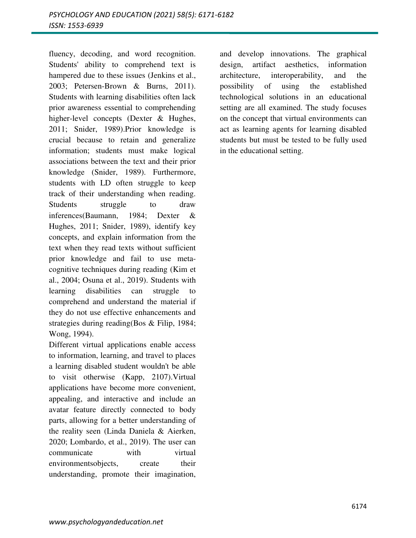fluency, decoding, and word recognition. Students' ability to comprehend text is hampered due to these issues (Jenkins et al., 2003; Petersen-Brown & Burns, 2011). Students with learning disabilities often lack prior awareness essential to comprehending higher-level concepts (Dexter & Hughes, 2011; Snider, 1989).Prior knowledge is crucial because to retain and generalize information; students must make logical associations between the text and their prior knowledge (Snider, 1989). Furthermore, students with LD often struggle to keep track of their understanding when reading. Students struggle to draw inferences(Baumann, 1984; Dexter & Hughes, 2011; Snider, 1989), identify key concepts, and explain information from the text when they read texts without sufficient prior knowledge and fail to use metacognitive techniques during reading (Kim et al., 2004; Osuna et al., 2019). Students with learning disabilities can struggle to comprehend and understand the material if they do not use effective enhancements and strategies during reading(Bos & Filip, 1984; Wong, 1994).

Different virtual applications enable access to information, learning, and travel to places a learning disabled student wouldn't be able to visit otherwise (Kapp, 2107).Virtual applications have become more convenient, appealing, and interactive and include an avatar feature directly connected to body parts, allowing for a better understanding of the reality seen (Linda Daniela & Aierken, 2020; Lombardo, et al., 2019). The user can communicate with virtual environmentsobjects, create their understanding, promote their imagination,

and develop innovations. The graphical design, artifact aesthetics, information architecture, interoperability, and the possibility of using the established technological solutions in an educational setting are all examined. The study focuses on the concept that virtual environments can act as learning agents for learning disabled students but must be tested to be fully used in the educational setting.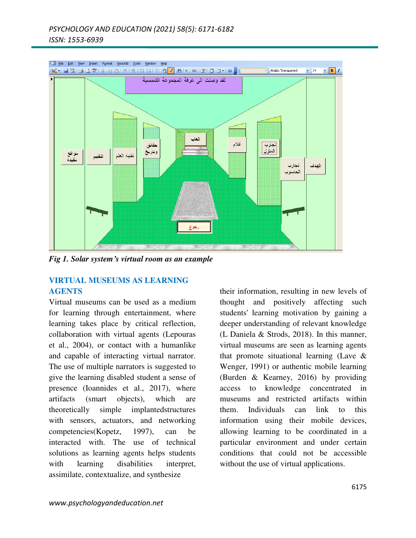

*Fig 1. Solar system's virtual room as an example* 

# **VIRTUAL MUSEUMS AS LEARNING AGENTS**

Virtual museums can be used as a medium for learning through entertainment, where learning takes place by critical reflection, collaboration with virtual agents (Lepouras et al., 2004), or contact with a humanlike and capable of interacting virtual narrator. The use of multiple narrators is suggested to give the learning disabled student a sense of presence (Ioannides et al., 2017), where artifacts (smart objects), which are theoretically simple implantedstructures with sensors, actuators, and networking competencies(Kopetz, 1997), can be interacted with. The use of technical solutions as learning agents helps students with learning disabilities interpret, assimilate, contextualize, and synthesize

their information, resulting in new levels of thought and positively affecting such students' learning motivation by gaining a deeper understanding of relevant knowledge (L Daniela & Strods, 2018). In this manner, virtual museums are seen as learning agents that promote situational learning (Lave & Wenger, 1991) or authentic mobile learning (Burden & Kearney, 2016) by providing access to knowledge concentrated in museums and restricted artifacts within them. Individuals can link to this information using their mobile devices, allowing learning to be coordinated in a particular environment and under certain conditions that could not be accessible without the use of virtual applications.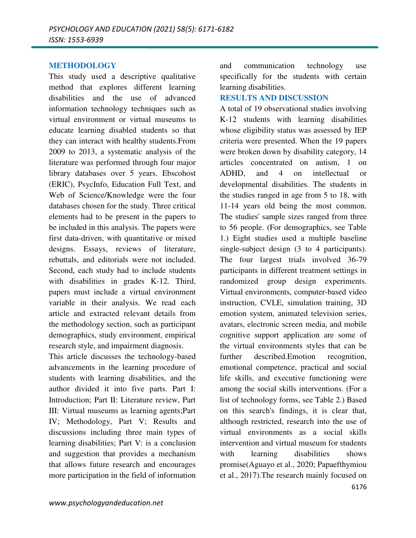#### **METHODOLOGY**

This study used a descriptive qualitative method that explores different learning disabilities and the use of advanced information technology techniques such as virtual environment or virtual museums to educate learning disabled students so that they can interact with healthy students.From 2009 to 2013, a systematic analysis of the literature was performed through four major library databases over 5 years. Ebscohost (ERIC), PsycInfo, Education Full Text, and Web of Science/Knowledge were the four databases chosen for the study. Three critical elements had to be present in the papers to be included in this analysis. The papers were first data-driven, with quantitative or mixed designs. Essays, reviews of literature, rebuttals, and editorials were not included. Second, each study had to include students with disabilities in grades K-12. Third, papers must include a virtual environment variable in their analysis. We read each article and extracted relevant details from the methodology section, such as participant demographics, study environment, empirical research style, and impairment diagnosis.

This article discusses the technology-based advancements in the learning procedure of students with learning disabilities, and the author divided it into five parts. Part I: Introduction; Part II: Literature review, Part III: Virtual museums as learning agents;Part IV; Methodology, Part V; Results and discussions including three main types of learning disabilities; Part V: is a conclusion and suggestion that provides a mechanism that allows future research and encourages more participation in the field of information

and communication technology use specifically for the students with certain learning disabilities.

## **RESULTS AND DISCUSSION**

A total of 19 observational studies involving K-12 students with learning disabilities whose eligibility status was assessed by IEP criteria were presented. When the 19 papers were broken down by disability category, 14 articles concentrated on autism, 1 on ADHD, and 4 on intellectual or developmental disabilities. The students in the studies ranged in age from 5 to 18, with 11-14 years old being the most common. The studies' sample sizes ranged from three to 56 people. (For demographics, see Table 1.) Eight studies used a multiple baseline single-subject design (3 to 4 participants). The four largest trials involved 36-79 participants in different treatment settings in randomized group design experiments. Virtual environments, computer-based video instruction, CVLE, simulation training, 3D emotion system, animated television series, avatars, electronic screen media, and mobile cognitive support application are some of the virtual environments styles that can be further described.Emotion recognition, emotional competence, practical and social life skills, and executive functioning were among the social skills interventions. (For a list of technology forms, see Table 2.) Based on this search's findings, it is clear that, although restricted, research into the use of virtual environments as a social skills intervention and virtual museum for students with learning disabilities shows promise(Aguayo et al., 2020; Papaefthymiou et al., 2017).The research mainly focused on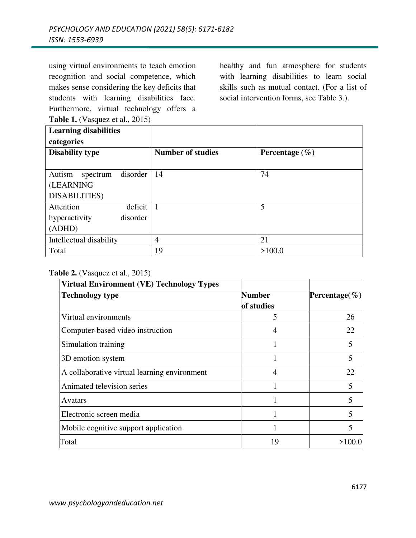using virtual environments to teach emotion recognition and social competence, which makes sense considering the key deficits that students with learning disabilities face. Furthermore, virtual technology offers a **Table 1.** (Vasquez et al., 2015)

healthy and fun atmosphere for students with learning disabilities to learn social skills such as mutual contact. (For a list of social intervention forms, see Table 3.).

| <b>Learning disabilities</b>   |                          |                    |
|--------------------------------|--------------------------|--------------------|
| categories                     |                          |                    |
| <b>Disability type</b>         | <b>Number of studies</b> | Percentage $(\% )$ |
|                                |                          |                    |
| Autism<br>disorder<br>spectrum | 14                       | 74                 |
| <b>(LEARNING</b>               |                          |                    |
| <b>DISABILITIES</b> )          |                          |                    |
| Attention<br>deficit           | $\overline{1}$           | 5                  |
| hyperactivity<br>disorder      |                          |                    |
| (ADHD)                         |                          |                    |
| Intellectual disability        | 4                        | 21                 |
| Total                          | 19                       | >100.0             |

#### **Table 2.** (Vasquez et al., 2015)

| <b>Virtual Environment (VE) Technology Types</b> |               |               |
|--------------------------------------------------|---------------|---------------|
| <b>Technology type</b>                           | <b>Number</b> | Percentage(%) |
|                                                  | of studies    |               |
| Virtual environments                             | 5             | 26            |
| Computer-based video instruction                 |               | 22            |
| Simulation training                              |               | 5             |
| 3D emotion system                                |               | 5             |
| A collaborative virtual learning environment     | 4             | 22            |
| Animated television series                       |               | 5             |
| Avatars                                          |               | 5             |
| Electronic screen media                          |               | 5             |
| Mobile cognitive support application             |               | 5             |
| Total                                            | 19            | >100.0        |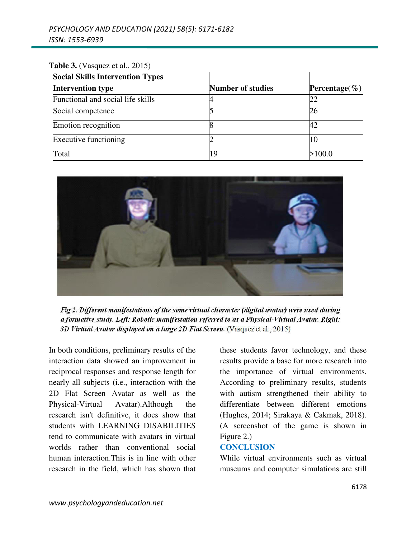## **Table 3.** (Vasquez et al., 2015)

| <b>Social Skills Intervention Types</b> |                          |               |
|-----------------------------------------|--------------------------|---------------|
| <b>Intervention type</b>                | <b>Number of studies</b> | Percentage(%) |
| Functional and social life skills       |                          |               |
| Social competence                       |                          | 26            |
| Emotion recognition                     |                          | 42            |
| Executive functioning                   |                          |               |
| Total                                   | 19                       | >100.0        |



Fig 2. Different manifestations of the same virtual character (digital avatar) were used during a formative study. Left: Robotic manifestation referred to as a Physical-Virtual Avatar. Right: 3D Virtual Avatar displayed on a large 2D Flat Screen. (Vasquez et al., 2015)

In both conditions, preliminary results of the interaction data showed an improvement in reciprocal responses and response length for nearly all subjects (i.e., interaction with the 2D Flat Screen Avatar as well as the Physical-Virtual Avatar).Although the research isn't definitive, it does show that students with LEARNING DISABILITIES tend to communicate with avatars in virtual worlds rather than conventional social human interaction.This is in line with other research in the field, which has shown that these students favor technology, and these results provide a base for more research into the importance of virtual environments. According to preliminary results, students with autism strengthened their ability to differentiate between different emotions (Hughes, 2014; Sirakaya & Cakmak, 2018). (A screenshot of the game is shown in Figure 2.)

#### **CONCLUSION**

While virtual environments such as virtual museums and computer simulations are still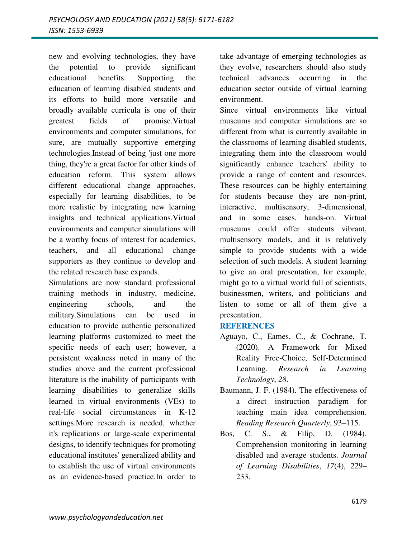new and evolving technologies, they have the potential to provide significant educational benefits. Supporting the education of learning disabled students and its efforts to build more versatile and broadly available curricula is one of their greatest fields of promise.Virtual environments and computer simulations, for sure, are mutually supportive emerging technologies.Instead of being 'just one more thing, they're a great factor for other kinds of education reform. This system allows different educational change approaches, especially for learning disabilities, to be more realistic by integrating new learning insights and technical applications.Virtual environments and computer simulations will be a worthy focus of interest for academics, teachers, and all educational change supporters as they continue to develop and the related research base expands.

Simulations are now standard professional training methods in industry, medicine, engineering schools, and the military.Simulations can be used in education to provide authentic personalized learning platforms customized to meet the specific needs of each user; however, a persistent weakness noted in many of the studies above and the current professional literature is the inability of participants with learning disabilities to generalize skills learned in virtual environments (VEs) to real-life social circumstances in K-12 settings.More research is needed, whether it's replications or large-scale experimental designs, to identify techniques for promoting educational institutes' generalized ability and to establish the use of virtual environments as an evidence-based practice.In order to

take advantage of emerging technologies as they evolve, researchers should also study technical advances occurring in the education sector outside of virtual learning environment.

Since virtual environments like virtual museums and computer simulations are so different from what is currently available in the classrooms of learning disabled students, integrating them into the classroom would significantly enhance teachers' ability to provide a range of content and resources. These resources can be highly entertaining for students because they are non-print, interactive, multisensory, 3-dimensional, and in some cases, hands-on. Virtual museums could offer students vibrant, multisensory models, and it is relatively simple to provide students with a wide selection of such models. A student learning to give an oral presentation, for example, might go to a virtual world full of scientists, businessmen, writers, and politicians and listen to some or all of them give a presentation.

## **REFERENCES**

- Aguayo, C., Eames, C., & Cochrane, T. (2020). A Framework for Mixed Reality Free-Choice, Self-Determined Learning. *Research in Learning Technology*, *28*.
- Baumann, J. F. (1984). The effectiveness of a direct instruction paradigm for teaching main idea comprehension. *Reading Research Quarterly*, 93–115.
- Bos, C. S., & Filip, D. (1984). Comprehension monitoring in learning disabled and average students. *Journal of Learning Disabilities*, *17*(4), 229– 233.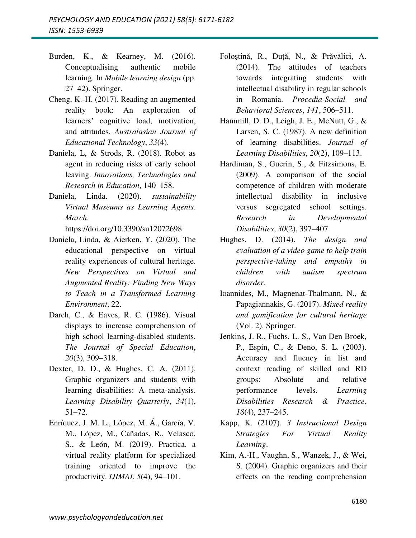- Burden, K., & Kearney, M. (2016). Conceptualising authentic mobile learning. In *Mobile learning design* (pp. 27–42). Springer.
- Cheng, K.-H. (2017). Reading an augmented reality book: An exploration of learners' cognitive load, motivation, and attitudes. *Australasian Journal of Educational Technology*, *33*(4).
- Daniela, L, & Strods, R. (2018). Robot as agent in reducing risks of early school leaving. *Innovations, Technologies and Research in Education*, 140–158.
- Daniela, Linda. (2020). *sustainability Virtual Museums as Learning Agents*. *March*.

https://doi.org/10.3390/su12072698

- Daniela, Linda, & Aierken, Y. (2020). The educational perspective on virtual reality experiences of cultural heritage. *New Perspectives on Virtual and Augmented Reality: Finding New Ways to Teach in a Transformed Learning Environment*, 22.
- Darch, C., & Eaves, R. C. (1986). Visual displays to increase comprehension of high school learning-disabled students. *The Journal of Special Education*, *20*(3), 309–318.
- Dexter, D. D., & Hughes, C. A. (2011). Graphic organizers and students with learning disabilities: A meta-analysis. *Learning Disability Quarterly*, *34*(1), 51–72.
- Enríquez, J. M. L., López, M. Á., García, V. M., López, M., Cañadas, R., Velasco, S., & León, M. (2019). Practica. a virtual reality platform for specialized training oriented to improve the productivity. *IJIMAI*, *5*(4), 94–101.
- Foloştină, R., Duţă, N., & Prăvălici, A. (2014). The attitudes of teachers towards integrating students with intellectual disability in regular schools in Romania. *Procedia-Social and Behavioral Sciences*, *141*, 506–511.
- Hammill, D. D., Leigh, J. E., McNutt, G., & Larsen, S. C. (1987). A new definition of learning disabilities. *Journal of Learning Disabilities*, *20*(2), 109–113.
- Hardiman, S., Guerin, S., & Fitzsimons, E. (2009). A comparison of the social competence of children with moderate intellectual disability in inclusive versus segregated school settings. *Research in Developmental Disabilities*, *30*(2), 397–407.
- Hughes, D. (2014). *The design and evaluation of a video game to help train perspective-taking and empathy in children with autism spectrum disorder*.
- Ioannides, M., Magnenat-Thalmann, N., & Papagiannakis, G. (2017). *Mixed reality and gamification for cultural heritage* (Vol. 2). Springer.
- Jenkins, J. R., Fuchs, L. S., Van Den Broek, P., Espin, C., & Deno, S. L. (2003). Accuracy and fluency in list and context reading of skilled and RD groups: Absolute and relative performance levels. *Learning Disabilities Research & Practice*, *18*(4), 237–245.
- Kapp, K. (2107). *3 Instructional Design Strategies For Virtual Reality Learning*.
- Kim, A.-H., Vaughn, S., Wanzek, J., & Wei, S. (2004). Graphic organizers and their effects on the reading comprehension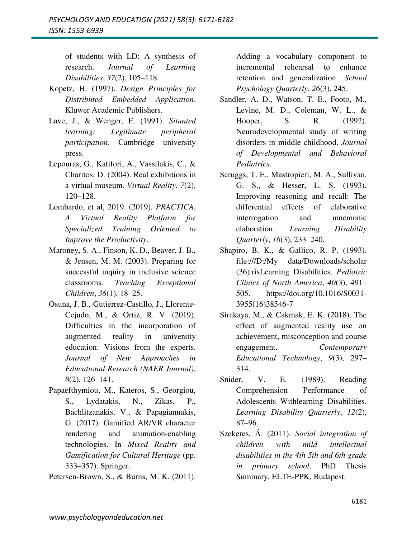of students with LD: A synthesis of research. *Journal of Learning Disabilities*, *37*(2), 105–118.

- Kopetz, H. (1997). *Design Principles for Distributed Embedded Application*. Kluwer Academic Publishers.
- Lave, J., & Wenger, E. (1991). *Situated learning: Legitimate peripheral participation*. Cambridge university press.
- Lepouras, G., Katifori, A., Vassilakis, C., & Charitos, D. (2004). Real exhibitions in a virtual museum. *Virtual Reality*, *7*(2), 120–128.
- Lombardo, et al, 2019. (2019). *PRACTICA. A Virtual Reality Platform for Specialized Training Oriented to Improve the Productivity*.
- Maroney, S. A., Finson, K. D., Beaver, J. B., & Jensen, M. M. (2003). Preparing for successful inquiry in inclusive science classrooms. *Teaching Exceptional Children*, *36*(1), 18–25.
- Osuna, J. B., Gutiérrez-Castillo, J., Llorente-Cejudo, M., & Ortiz, R. V. (2019). Difficulties in the incorporation of augmented reality in university education: Visions from the experts. *Journal of New Approaches in Educational Research (NAER Journal)*, *8*(2), 126–141.
- Papaefthymiou, M., Kateros, S., Georgiou, S., Lydatakis, N., Zikas, P., Bachlitzanakis, V., & Papagiannakis, G. (2017). Gamified AR/VR character rendering and animation-enabling technologies. In *Mixed Reality and Gamification for Cultural Heritage* (pp. 333–357). Springer.
- Petersen-Brown, S., & Burns, M. K. (2011).

Adding a vocabulary component to incremental rehearsal to enhance retention and generalization. *School Psychology Quarterly*, *26*(3), 245.

- Sandler, A. D., Watson, T. E., Footo, M., Levine, M. D., Coleman, W. L., & Hooper, S. R. (1992). Neurodevelopmental study of writing disorders in middle childhood. *Journal of Developmental and Behavioral Pediatrics*.
- Scruggs, T. E., Mastropieri, M. A., Sullivan, G. S., & Hesser, L. S. (1993). Improving reasoning and recall: The differential effects of elaborative interrogation and mnemonic elaboration. *Learning Disability Quarterly*, *16*(3), 233–240.
- Shapiro, B. K., & Gallico, R. P. (1993). file:///D:/My data/Downloads/scholar (36).risLearning Disabilities. *Pediatric Clinics of North America*, *40*(3), 491– 505. https://doi.org/10.1016/S0031- 3955(16)38546-7
- Sirakaya, M., & Cakmak, E. K. (2018). The effect of augmented reality use on achievement, misconception and course engagement. *Contemporary Educational Technology*, *9*(3), 297– 314.
- Snider, V. E. (1989). Reading Comprehension Performance of Adolescents Withlearning Disabilities. *Learning Disability Quarterly*, *12*(2), 87–96.
- Szekeres, Á. (2011). *Social integration of children with mild intellectual disabilities in the 4th 5th and 6th grade in primary school*. PhD Thesis Summary, ELTE-PPK, Budapest.